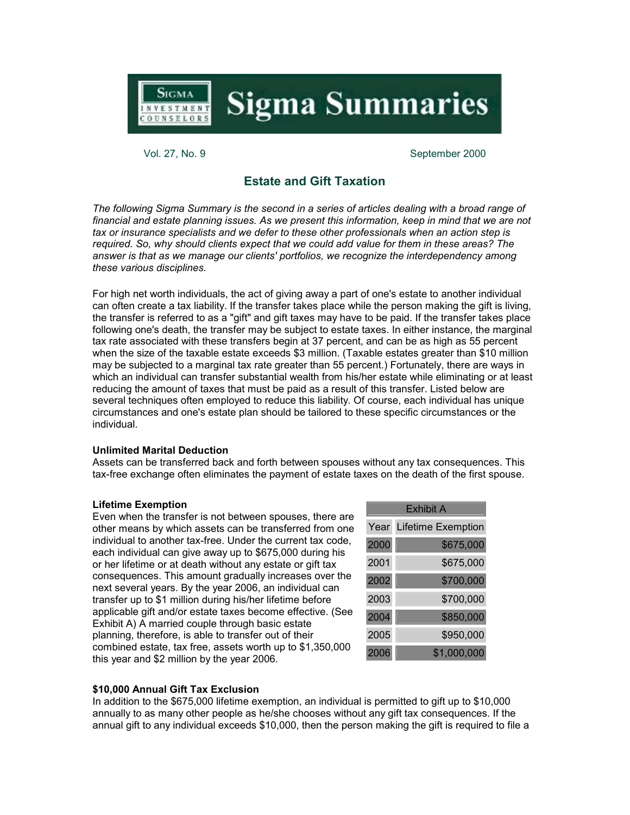

**Sigma Summaries** 

Vol. 27, No. 9 September 2000

# **Estate and Gift Taxation**

*The following Sigma Summary is the second in a series of articles dealing with a broad range of financial and estate planning issues. As we present this information, keep in mind that we are not tax or insurance specialists and we defer to these other professionals when an action step is required. So, why should clients expect that we could add value for them in these areas? The answer is that as we manage our clients' portfolios, we recognize the interdependency among these various disciplines.*

For high net worth individuals, the act of giving away a part of one's estate to another individual can often create a tax liability. If the transfer takes place while the person making the gift is living, the transfer is referred to as a "gift" and gift taxes may have to be paid. If the transfer takes place following one's death, the transfer may be subject to estate taxes. In either instance, the marginal tax rate associated with these transfers begin at 37 percent, and can be as high as 55 percent when the size of the taxable estate exceeds \$3 million. (Taxable estates greater than \$10 million may be subjected to a marginal tax rate greater than 55 percent.) Fortunately, there are ways in which an individual can transfer substantial wealth from his/her estate while eliminating or at least reducing the amount of taxes that must be paid as a result of this transfer. Listed below are several techniques often employed to reduce this liability. Of course, each individual has unique circumstances and one's estate plan should be tailored to these specific circumstances or the individual.

## **Unlimited Marital Deduction**

Assets can be transferred back and forth between spouses without any tax consequences. This tax-free exchange often eliminates the payment of estate taxes on the death of the first spouse.

## **Lifetime Exemption**

Even when the transfer is not between spouses, there are other means by which assets can be transferred from one individual to another tax-free. Under the current tax code, each individual can give away up to \$675,000 during his or her lifetime or at death without any estate or gift tax consequences. This amount gradually increases over the next several years. By the year 2006, an individual can transfer up to \$1 million during his/her lifetime before applicable gift and/or estate taxes become effective. (See Exhibit A) A married couple through basic estate planning, therefore, is able to transfer out of their combined estate, tax free, assets worth up to \$1,350,000 this year and \$2 million by the year 2006.

| Exhibit A |                    |  |  |
|-----------|--------------------|--|--|
| Year      | Lifetime Exemption |  |  |
| 2000      | \$675,000          |  |  |
| 2001      | \$675,000          |  |  |
| 2002      | \$700,000          |  |  |
| 2003      | \$700,000          |  |  |
| 2004      | \$850,000          |  |  |
| 2005      | \$950,000          |  |  |
| 2006      | \$1,000,000        |  |  |

# **\$10,000 Annual Gift Tax Exclusion**

In addition to the \$675,000 lifetime exemption, an individual is permitted to gift up to \$10,000 annually to as many other people as he/she chooses without any gift tax consequences. If the annual gift to any individual exceeds \$10,000, then the person making the gift is required to file a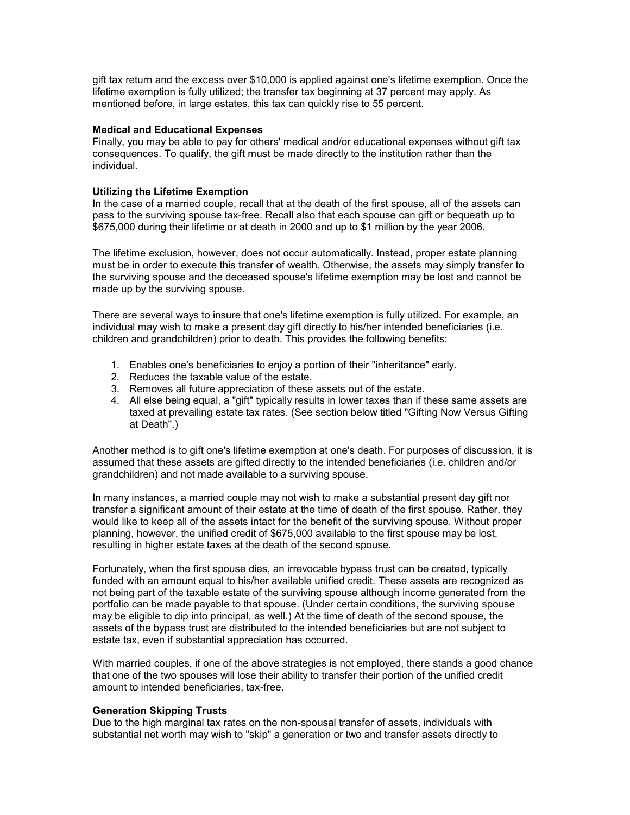gift tax return and the excess over \$10,000 is applied against one's lifetime exemption. Once the lifetime exemption is fully utilized; the transfer tax beginning at 37 percent may apply. As mentioned before, in large estates, this tax can quickly rise to 55 percent.

## **Medical and Educational Expenses**

Finally, you may be able to pay for others' medical and/or educational expenses without gift tax consequences. To qualify, the gift must be made directly to the institution rather than the individual.

# **Utilizing the Lifetime Exemption**

In the case of a married couple, recall that at the death of the first spouse, all of the assets can pass to the surviving spouse tax-free. Recall also that each spouse can gift or bequeath up to \$675,000 during their lifetime or at death in 2000 and up to \$1 million by the year 2006.

The lifetime exclusion, however, does not occur automatically. Instead, proper estate planning must be in order to execute this transfer of wealth. Otherwise, the assets may simply transfer to the surviving spouse and the deceased spouse's lifetime exemption may be lost and cannot be made up by the surviving spouse.

There are several ways to insure that one's lifetime exemption is fully utilized. For example, an individual may wish to make a present day gift directly to his/her intended beneficiaries (i.e. children and grandchildren) prior to death. This provides the following benefits:

- 1. Enables one's beneficiaries to enjoy a portion of their "inheritance" early.
- 2. Reduces the taxable value of the estate.
- 3. Removes all future appreciation of these assets out of the estate.
- 4. All else being equal, a "gift" typically results in lower taxes than if these same assets are taxed at prevailing estate tax rates. (See section below titled "Gifting Now Versus Gifting at Death".)

Another method is to gift one's lifetime exemption at one's death. For purposes of discussion, it is assumed that these assets are gifted directly to the intended beneficiaries (i.e. children and/or grandchildren) and not made available to a surviving spouse.

In many instances, a married couple may not wish to make a substantial present day gift nor transfer a significant amount of their estate at the time of death of the first spouse. Rather, they would like to keep all of the assets intact for the benefit of the surviving spouse. Without proper planning, however, the unified credit of \$675,000 available to the first spouse may be lost, resulting in higher estate taxes at the death of the second spouse.

Fortunately, when the first spouse dies, an irrevocable bypass trust can be created, typically funded with an amount equal to his/her available unified credit. These assets are recognized as not being part of the taxable estate of the surviving spouse although income generated from the portfolio can be made payable to that spouse. (Under certain conditions, the surviving spouse may be eligible to dip into principal, as well.) At the time of death of the second spouse, the assets of the bypass trust are distributed to the intended beneficiaries but are not subject to estate tax, even if substantial appreciation has occurred.

With married couples, if one of the above strategies is not employed, there stands a good chance that one of the two spouses will lose their ability to transfer their portion of the unified credit amount to intended beneficiaries, tax-free.

# **Generation Skipping Trusts**

Due to the high marginal tax rates on the non-spousal transfer of assets, individuals with substantial net worth may wish to "skip" a generation or two and transfer assets directly to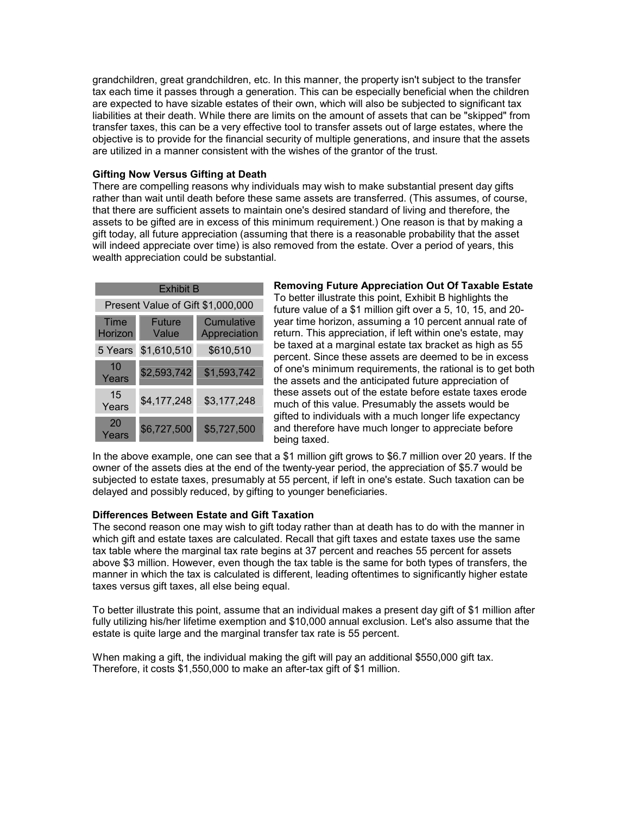grandchildren, great grandchildren, etc. In this manner, the property isn't subject to the transfer tax each time it passes through a generation. This can be especially beneficial when the children are expected to have sizable estates of their own, which will also be subjected to significant tax liabilities at their death. While there are limits on the amount of assets that can be "skipped" from transfer taxes, this can be a very effective tool to transfer assets out of large estates, where the objective is to provide for the financial security of multiple generations, and insure that the assets are utilized in a manner consistent with the wishes of the grantor of the trust.

# **Gifting Now Versus Gifting at Death**

There are compelling reasons why individuals may wish to make substantial present day gifts rather than wait until death before these same assets are transferred. (This assumes, of course, that there are sufficient assets to maintain one's desired standard of living and therefore, the assets to be gifted are in excess of this minimum requirement.) One reason is that by making a gift today, all future appreciation (assuming that there is a reasonable probability that the asset will indeed appreciate over time) is also removed from the estate. Over a period of years, this wealth appreciation could be substantial.

| <b>Fxhibit B</b>                  |                 |                            |  |
|-----------------------------------|-----------------|----------------------------|--|
| Present Value of Gift \$1,000,000 |                 |                            |  |
| Time<br>Horizon                   | Future<br>Value | Cumulative<br>Appreciation |  |
| 5 Years                           | \$1,610,510     | \$610,510                  |  |
| 10<br>Years                       | \$2,593,742     | \$1,593,742                |  |
| 15<br>Years                       | \$4,177,248     | \$3,177,248                |  |
| 20<br>Years                       | \$6,727,500     | \$5,727,500                |  |

**Removing Future Appreciation Out Of Taxable Estate** To better illustrate this point, Exhibit B highlights the future value of a \$1 million gift over a 5, 10, 15, and 20 year time horizon, assuming a 10 percent annual rate of return. This appreciation, if left within one's estate, may be taxed at a marginal estate tax bracket as high as 55 percent. Since these assets are deemed to be in excess of one's minimum requirements, the rational is to get both the assets and the anticipated future appreciation of these assets out of the estate before estate taxes erode much of this value. Presumably the assets would be gifted to individuals with a much longer life expectancy and therefore have much longer to appreciate before being taxed.

In the above example, one can see that a \$1 million gift grows to \$6.7 million over 20 years. If the owner of the assets dies at the end of the twenty-year period, the appreciation of \$5.7 would be subjected to estate taxes, presumably at 55 percent, if left in one's estate. Such taxation can be delayed and possibly reduced, by gifting to younger beneficiaries.

## **Differences Between Estate and Gift Taxation**

The second reason one may wish to gift today rather than at death has to do with the manner in which gift and estate taxes are calculated. Recall that gift taxes and estate taxes use the same tax table where the marginal tax rate begins at 37 percent and reaches 55 percent for assets above \$3 million. However, even though the tax table is the same for both types of transfers, the manner in which the tax is calculated is different, leading oftentimes to significantly higher estate taxes versus gift taxes, all else being equal.

To better illustrate this point, assume that an individual makes a present day gift of \$1 million after fully utilizing his/her lifetime exemption and \$10,000 annual exclusion. Let's also assume that the estate is quite large and the marginal transfer tax rate is 55 percent.

When making a gift, the individual making the gift will pay an additional \$550,000 gift tax. Therefore, it costs \$1,550,000 to make an after-tax gift of \$1 million.